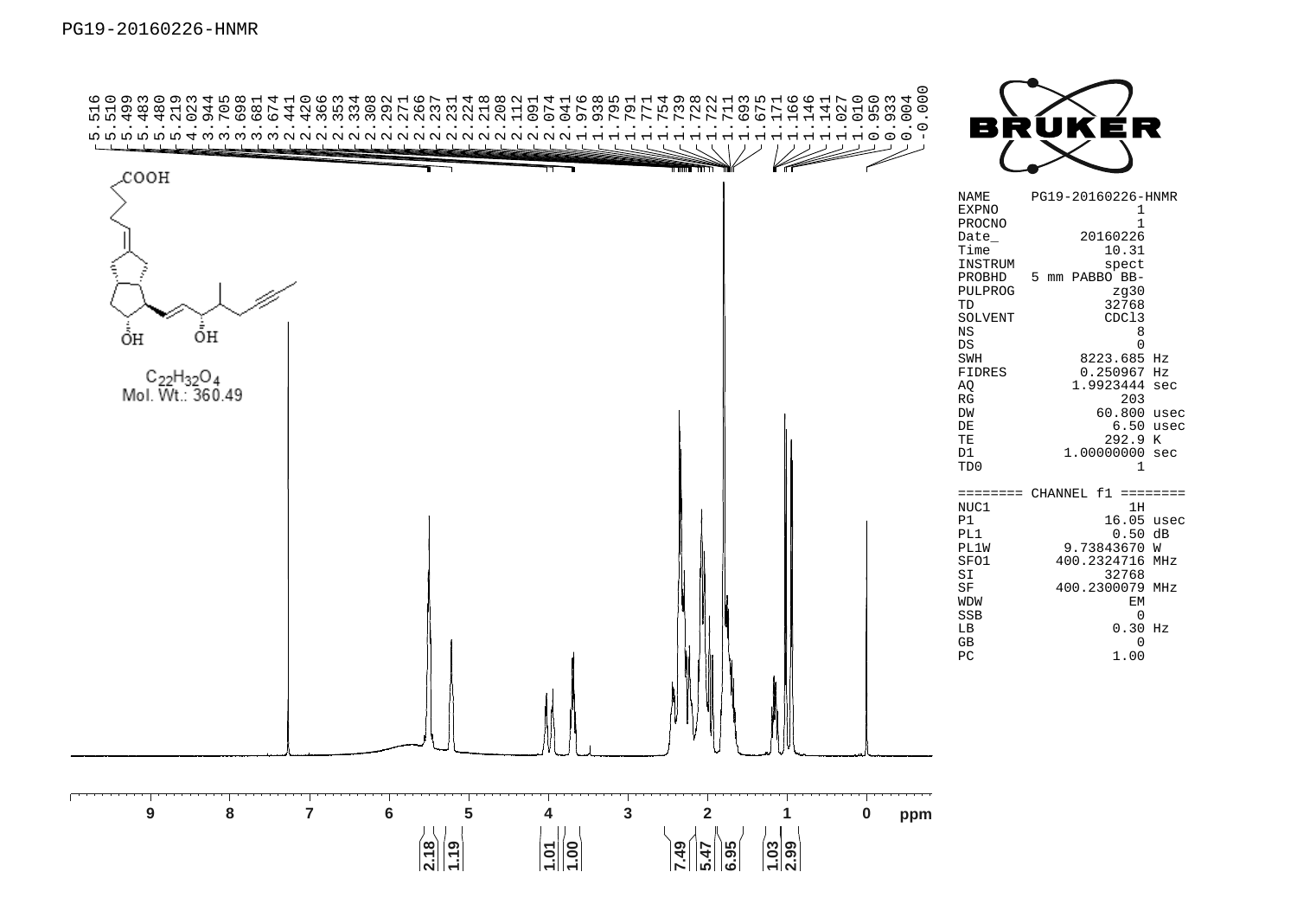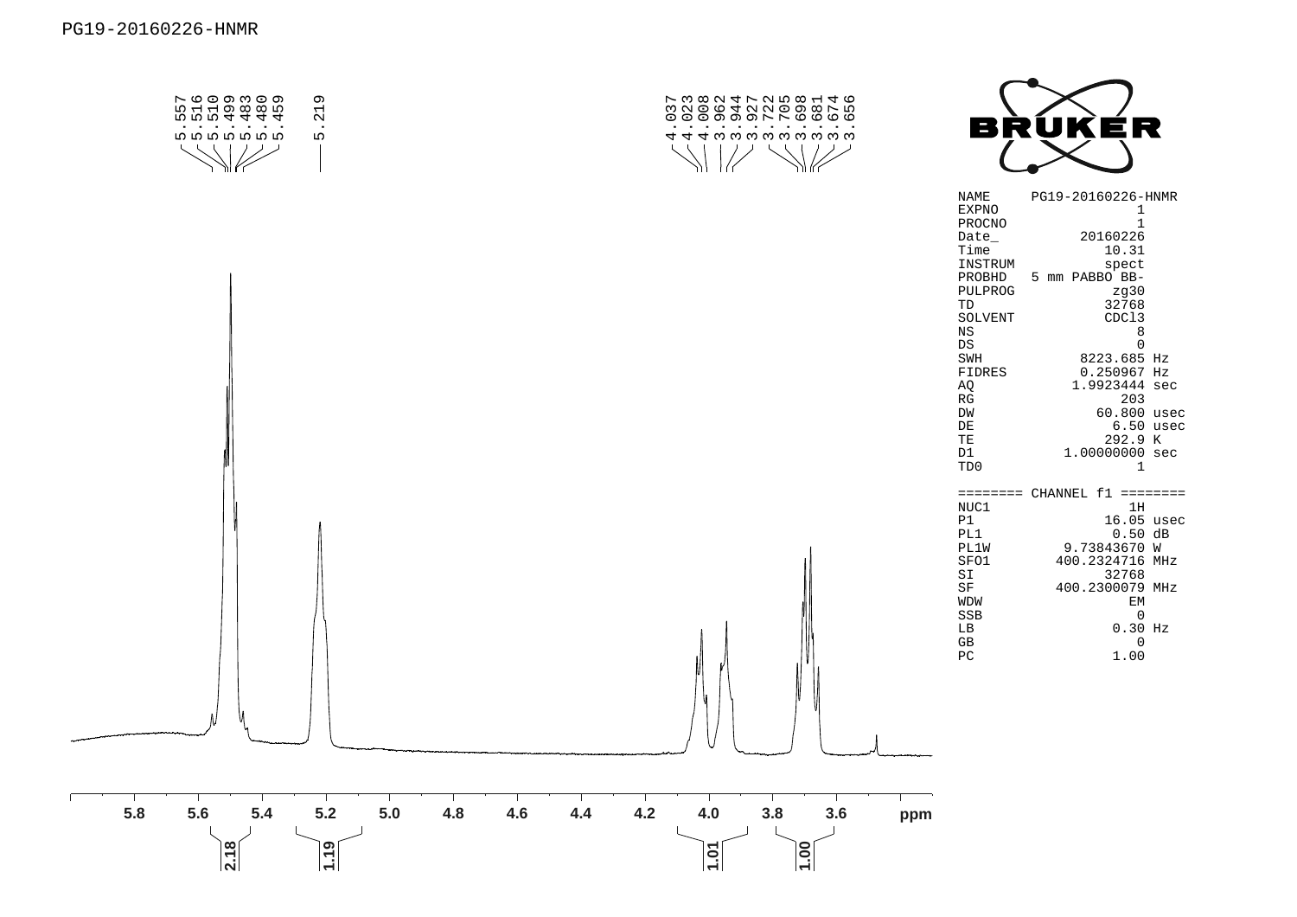